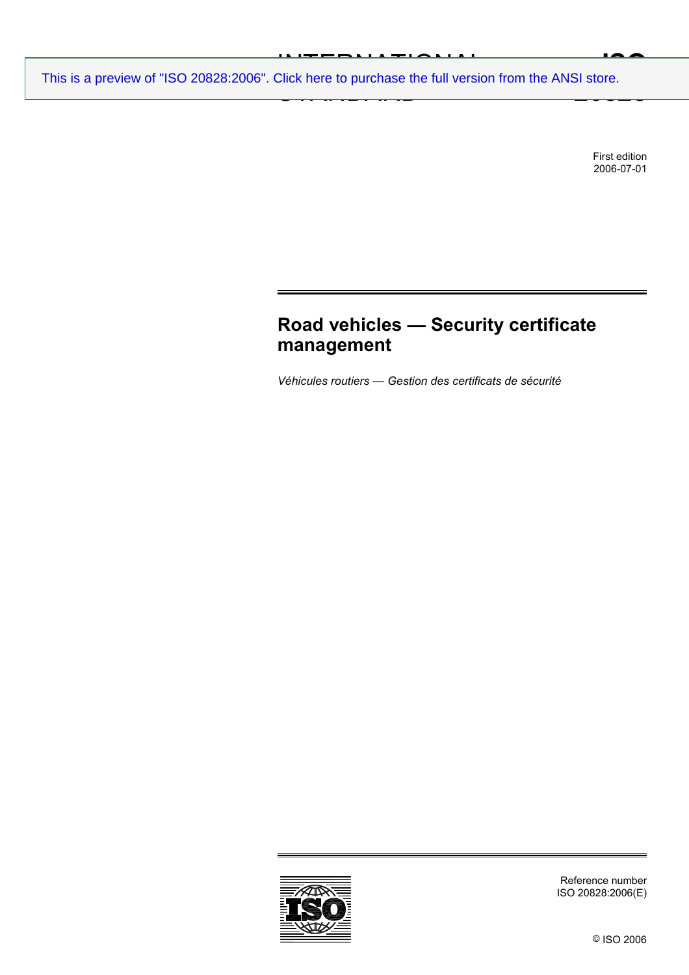# INTERNATIONAL AUGUST<br>Niels kom to mumboon the full version

 $\frac{1}{2}$ **IAA 20828** [This is a preview of "ISO 20828:2006". Click here to purchase the full version from the ANSI store.](http://webstore.ansi.org/RecordDetail.aspx?sku=ISO%2020828:2006&source=preview)

> First edition 2006-07-01

# **Road vehicles — Security certificate management**

*Véhicules routiers — Gestion des certificats de sécurité* 



Reference number ISO 20828:2006(E)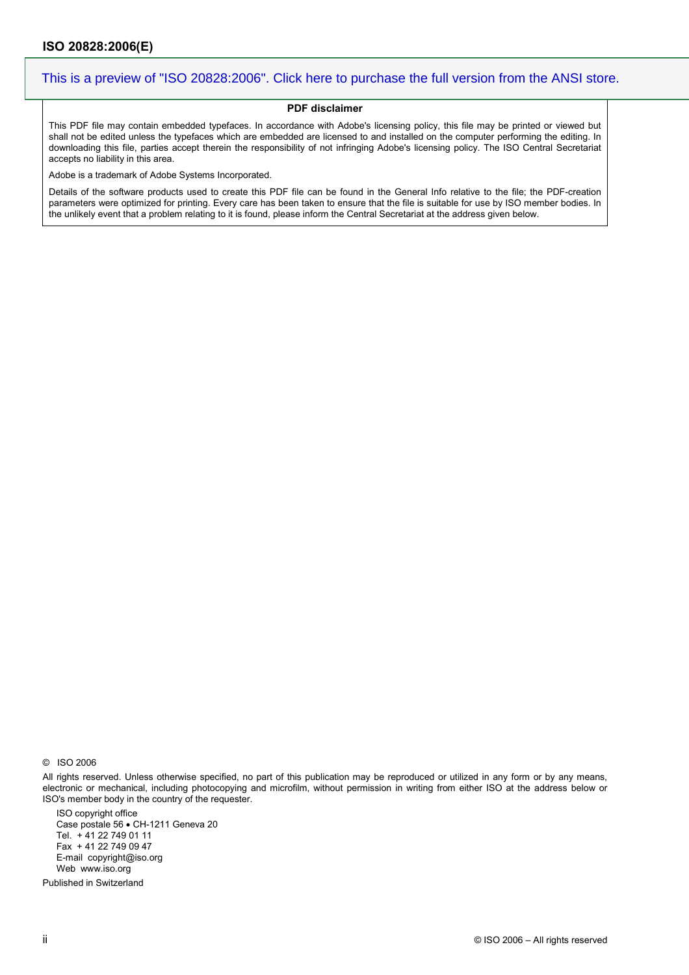#### **PDF disclaimer**

This PDF file may contain embedded typefaces. In accordance with Adobe's licensing policy, this file may be printed or viewed but shall not be edited unless the typefaces which are embedded are licensed to and installed on the computer performing the editing. In downloading this file, parties accept therein the responsibility of not infringing Adobe's licensing policy. The ISO Central Secretariat accepts no liability in this area.

Adobe is a trademark of Adobe Systems Incorporated.

Details of the software products used to create this PDF file can be found in the General Info relative to the file; the PDF-creation parameters were optimized for printing. Every care has been taken to ensure that the file is suitable for use by ISO member bodies. In the unlikely event that a problem relating to it is found, please inform the Central Secretariat at the address given below.

© ISO 2006

All rights reserved. Unless otherwise specified, no part of this publication may be reproduced or utilized in any form or by any means, electronic or mechanical, including photocopying and microfilm, without permission in writing from either ISO at the address below or ISO's member body in the country of the requester.

ISO copyright office Case postale 56 • CH-1211 Geneva 20 Tel. + 41 22 749 01 11 Fax + 41 22 749 09 47 E-mail copyright@iso.org Web www.iso.org

Published in Switzerland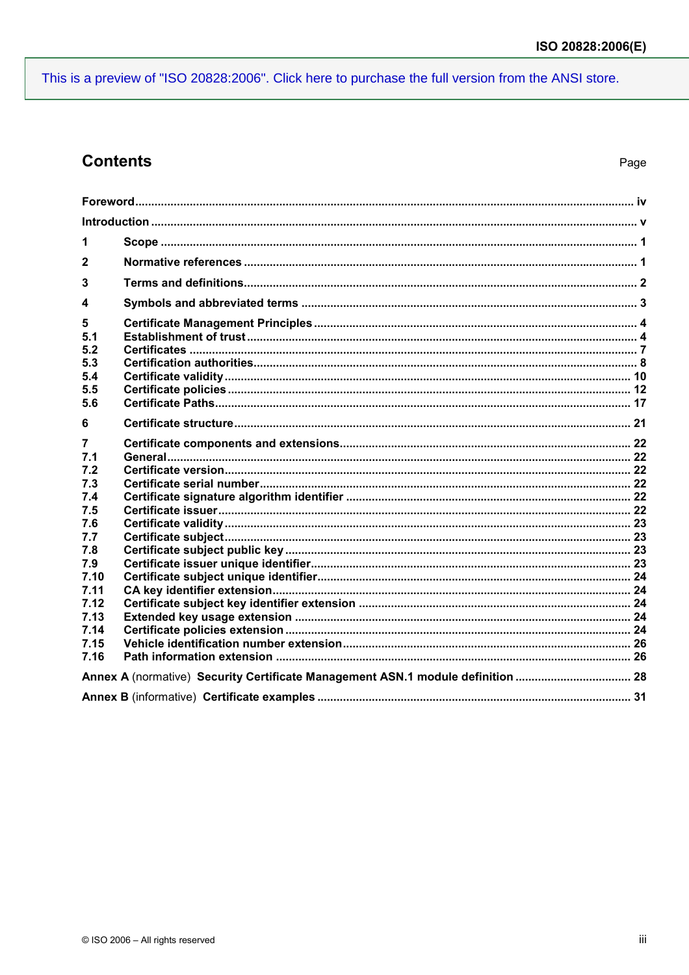## **Contents**

| 1            |                                                                                 |  |  |
|--------------|---------------------------------------------------------------------------------|--|--|
| $\mathbf{2}$ |                                                                                 |  |  |
| 3            |                                                                                 |  |  |
| 4            |                                                                                 |  |  |
| 5            |                                                                                 |  |  |
| 5.1          |                                                                                 |  |  |
| 5.2          |                                                                                 |  |  |
| 5.3          |                                                                                 |  |  |
| 5.4          |                                                                                 |  |  |
| 5.5          |                                                                                 |  |  |
| 5.6          |                                                                                 |  |  |
| 6            |                                                                                 |  |  |
| 7            |                                                                                 |  |  |
| 7.1          |                                                                                 |  |  |
| 7.2          |                                                                                 |  |  |
| 7.3          |                                                                                 |  |  |
| 7.4          |                                                                                 |  |  |
| 7.5          |                                                                                 |  |  |
| 7.6          |                                                                                 |  |  |
| 7.7          |                                                                                 |  |  |
| 7.8          |                                                                                 |  |  |
| 7.9          |                                                                                 |  |  |
| 7.10         |                                                                                 |  |  |
| 7.11         |                                                                                 |  |  |
| 7.12         |                                                                                 |  |  |
| 7.13         |                                                                                 |  |  |
| 7.14<br>7.15 |                                                                                 |  |  |
| 7.16         |                                                                                 |  |  |
|              |                                                                                 |  |  |
|              | Annex A (normative) Security Certificate Management ASN.1 module definition  28 |  |  |
|              |                                                                                 |  |  |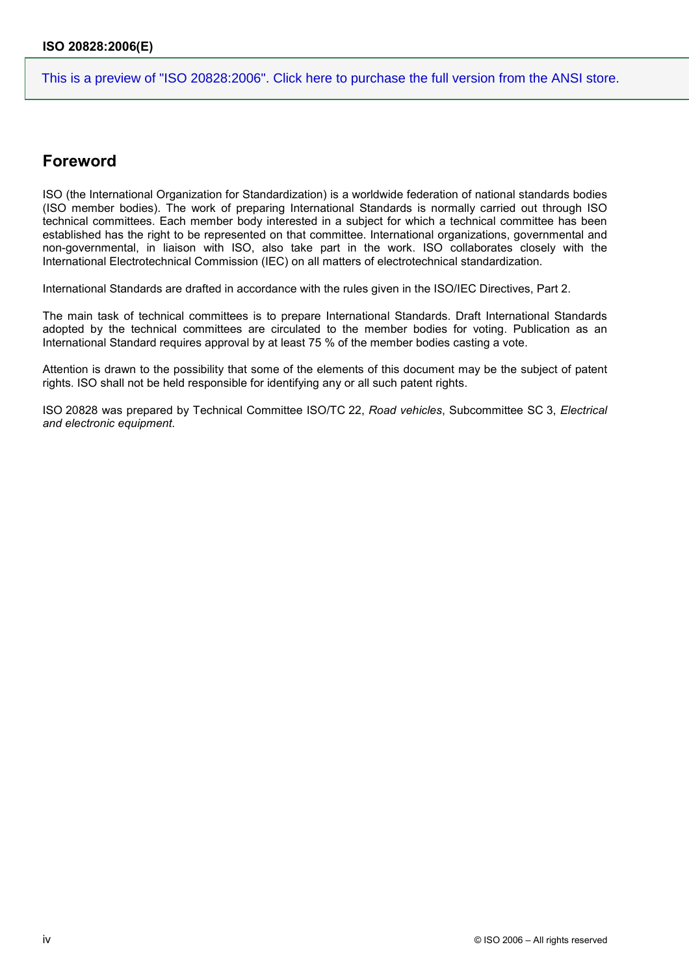### **Foreword**

ISO (the International Organization for Standardization) is a worldwide federation of national standards bodies (ISO member bodies). The work of preparing International Standards is normally carried out through ISO technical committees. Each member body interested in a subject for which a technical committee has been established has the right to be represented on that committee. International organizations, governmental and non-governmental, in liaison with ISO, also take part in the work. ISO collaborates closely with the International Electrotechnical Commission (IEC) on all matters of electrotechnical standardization.

International Standards are drafted in accordance with the rules given in the ISO/IEC Directives, Part 2.

The main task of technical committees is to prepare International Standards. Draft International Standards adopted by the technical committees are circulated to the member bodies for voting. Publication as an International Standard requires approval by at least 75 % of the member bodies casting a vote.

Attention is drawn to the possibility that some of the elements of this document may be the subject of patent rights. ISO shall not be held responsible for identifying any or all such patent rights.

ISO 20828 was prepared by Technical Committee ISO/TC 22, *Road vehicles*, Subcommittee SC 3, *Electrical and electronic equipment*.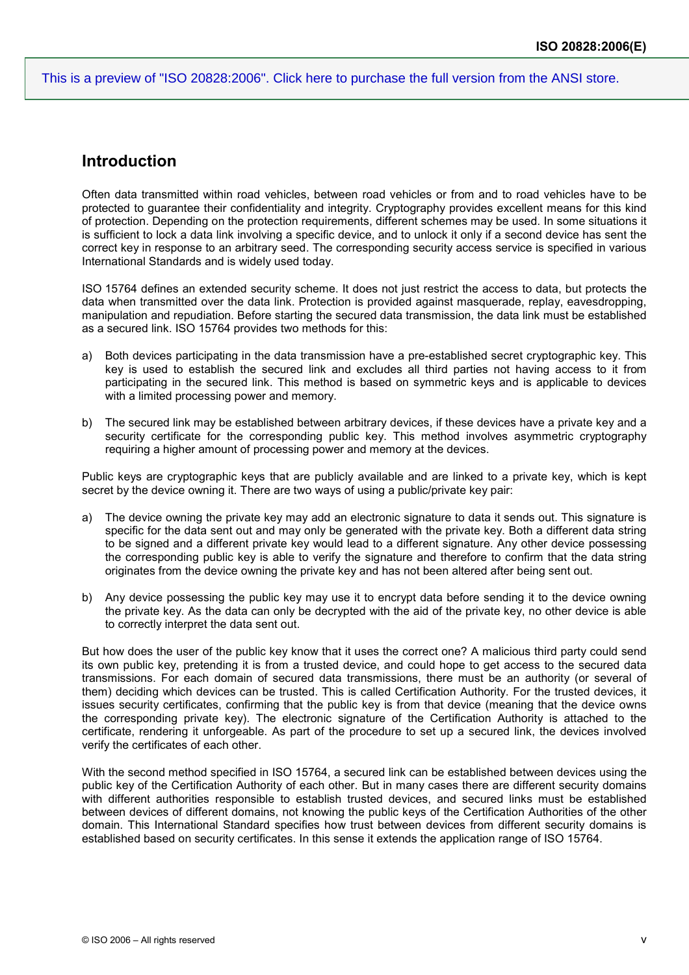### **Introduction**

Often data transmitted within road vehicles, between road vehicles or from and to road vehicles have to be protected to guarantee their confidentiality and integrity. Cryptography provides excellent means for this kind of protection. Depending on the protection requirements, different schemes may be used. In some situations it is sufficient to lock a data link involving a specific device, and to unlock it only if a second device has sent the correct key in response to an arbitrary seed. The corresponding security access service is specified in various International Standards and is widely used today.

ISO 15764 defines an extended security scheme. It does not just restrict the access to data, but protects the data when transmitted over the data link. Protection is provided against masquerade, replay, eavesdropping, manipulation and repudiation. Before starting the secured data transmission, the data link must be established as a secured link. ISO 15764 provides two methods for this:

- a) Both devices participating in the data transmission have a pre-established secret cryptographic key. This key is used to establish the secured link and excludes all third parties not having access to it from participating in the secured link. This method is based on symmetric keys and is applicable to devices with a limited processing power and memory.
- b) The secured link may be established between arbitrary devices, if these devices have a private key and a security certificate for the corresponding public key. This method involves asymmetric cryptography requiring a higher amount of processing power and memory at the devices.

Public keys are cryptographic keys that are publicly available and are linked to a private key, which is kept secret by the device owning it. There are two ways of using a public/private key pair:

- a) The device owning the private key may add an electronic signature to data it sends out. This signature is specific for the data sent out and may only be generated with the private key. Both a different data string to be signed and a different private key would lead to a different signature. Any other device possessing the corresponding public key is able to verify the signature and therefore to confirm that the data string originates from the device owning the private key and has not been altered after being sent out.
- b) Any device possessing the public key may use it to encrypt data before sending it to the device owning the private key. As the data can only be decrypted with the aid of the private key, no other device is able to correctly interpret the data sent out.

But how does the user of the public key know that it uses the correct one? A malicious third party could send its own public key, pretending it is from a trusted device, and could hope to get access to the secured data transmissions. For each domain of secured data transmissions, there must be an authority (or several of them) deciding which devices can be trusted. This is called Certification Authority. For the trusted devices, it issues security certificates, confirming that the public key is from that device (meaning that the device owns the corresponding private key). The electronic signature of the Certification Authority is attached to the certificate, rendering it unforgeable. As part of the procedure to set up a secured link, the devices involved verify the certificates of each other.

With the second method specified in ISO 15764, a secured link can be established between devices using the public key of the Certification Authority of each other. But in many cases there are different security domains with different authorities responsible to establish trusted devices, and secured links must be established between devices of different domains, not knowing the public keys of the Certification Authorities of the other domain. This International Standard specifies how trust between devices from different security domains is established based on security certificates. In this sense it extends the application range of ISO 15764.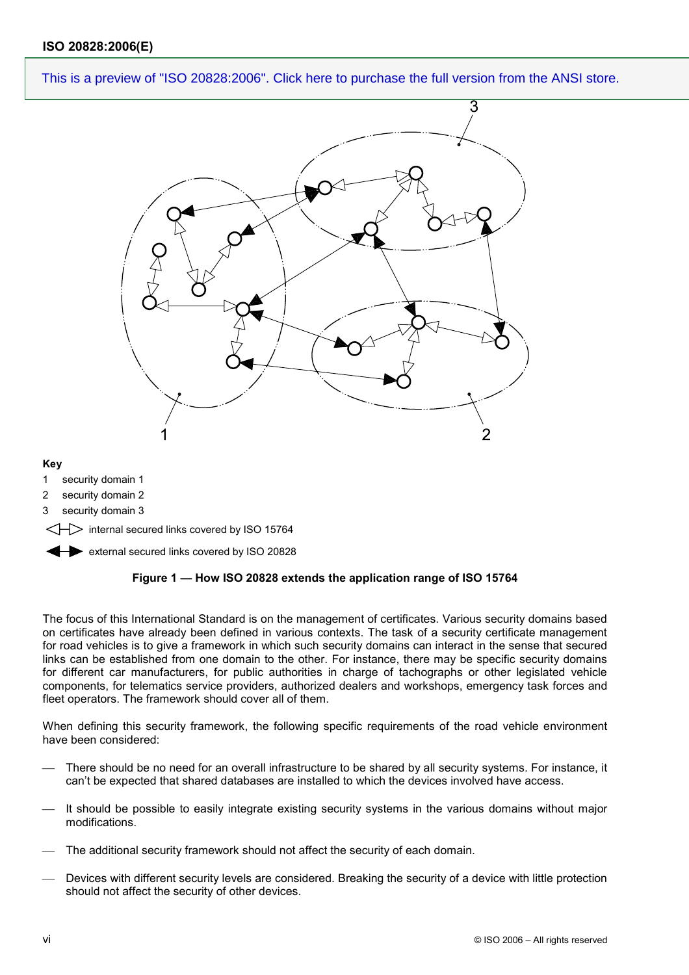

#### **Key**

- 1 security domain 1
- 2 security domain 2
- 3 security domain 3
- $\Rightarrow$  internal secured links covered by ISO 15764

external secured links covered by ISO 20828

#### **Figure 1 — How ISO 20828 extends the application range of ISO 15764**

The focus of this International Standard is on the management of certificates. Various security domains based on certificates have already been defined in various contexts. The task of a security certificate management for road vehicles is to give a framework in which such security domains can interact in the sense that secured links can be established from one domain to the other. For instance, there may be specific security domains for different car manufacturers, for public authorities in charge of tachographs or other legislated vehicle components, for telematics service providers, authorized dealers and workshops, emergency task forces and fleet operators. The framework should cover all of them.

When defining this security framework, the following specific requirements of the road vehicle environment have been considered:

- There should be no need for an overall infrastructure to be shared by all security systems. For instance, it can't be expected that shared databases are installed to which the devices involved have access.
- It should be possible to easily integrate existing security systems in the various domains without major modifications.
- The additional security framework should not affect the security of each domain.
- Devices with different security levels are considered. Breaking the security of a device with little protection should not affect the security of other devices.